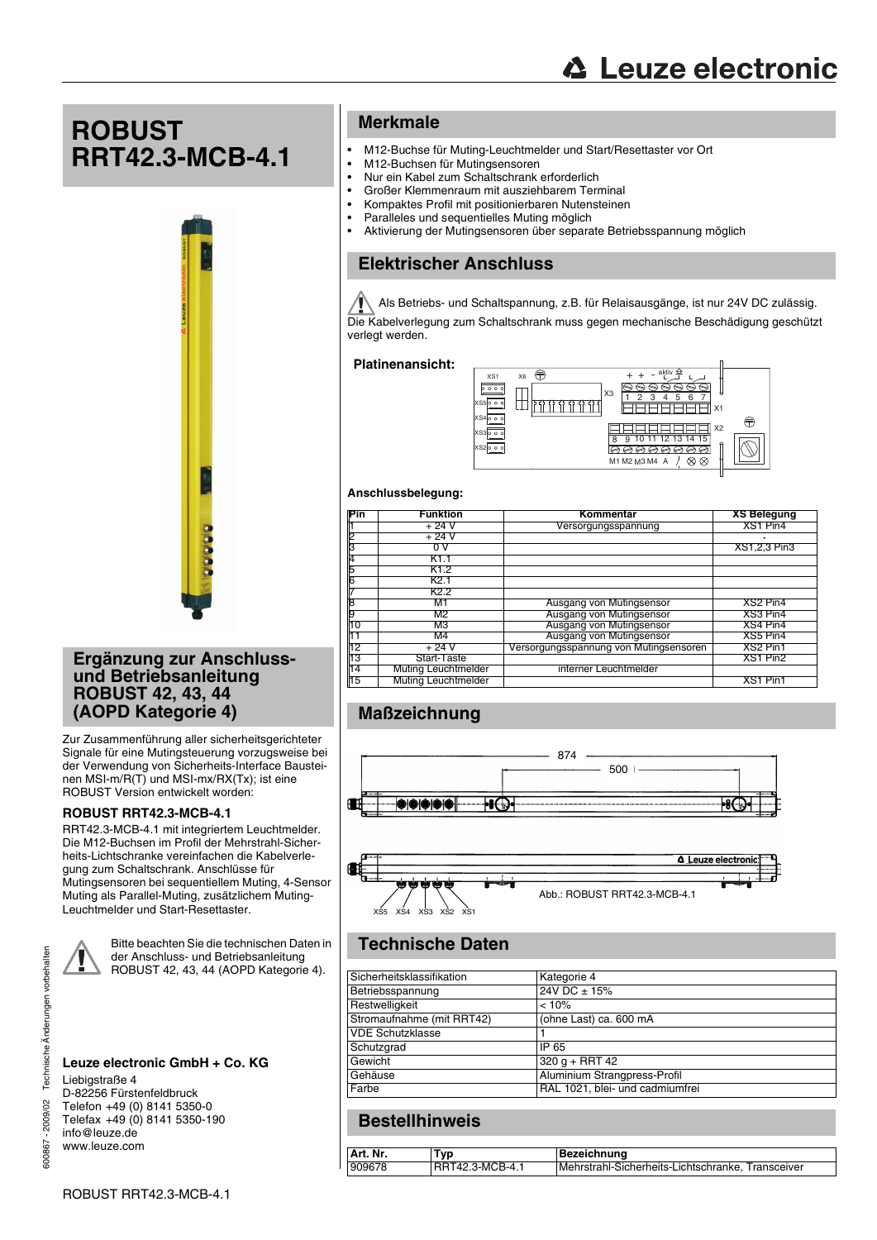**ROBUST RRT42.3-MCB-4.1**



### **Ergänzung zur Anschlussund Betriebsanleitung ROBUST 42, 43, 44 (AOPD Kategorie 4)**

Zur Zusammenführung aller sicherheitsgerichteter Signale für eine Mutingsteuerung vorzugsweise bei der Verwendung von Sicherheits-Interface Bausteinen MSI-m/R(T) und MSI-mx/RX(Tx); ist eine ROBUST Version entwickelt worden:

#### **ROBUST RRT42.3-MCB-4.1**

RRT42.3-MCB-4.1 mit integriertem Leuchtmelder. Die M12-Buchsen im Profil der Mehrstrahl-Sicherheits-Lichtschranke vereinfachen die Kabelverlegung zum Schaltschrank. Anschlüsse für Mutingsensoren bei sequentiellem Muting, 4-Sensor Muting als Parallel-Muting, zusätzlichem Muting-Leuchtmelder und Start-Resettaster.

Bitte beachten Sie die technischen Daten in der Anschluss- und Betriebsanleitung ROBUST 42, 43, 44 (AOPD Kategorie 4).

#### **Leuze electronic GmbH + Co. KG** Liebigstraße 4

D-82256 Fürstenfeldbruck Telefon +49 (0) 8141 5350-0 Telefax +49 (0) 8141 5350-190 info@leuze.de www.leuze.com

## **Merkmale**

- M12-Buchse für Muting-Leuchtmelder und Start/Resettaster vor Ort
- M12-Buchsen für Mutingsensoren
- Nur ein Kabel zum Schaltschrank erforderlich<br>• Großer Klemmenraum mit ausziehbarem Terr
- Großer Klemmenraum mit ausziehbarem Terminal
- Kompaktes Profil mit positionierbaren Nutensteinen<br>• Paralleles und sequentielles Muting möglich
- Paralleles und sequentielles Muting möglich
- Aktivierung der Mutingsensoren über separate Betriebsspannung möglich

# **Elektrischer Anschluss**

Als Betriebs- und Schaltspannung, z.B. für Relaisausgänge, ist nur 24V DC zulässig. Die Kabelverlegung zum Schaltschrank muss gegen mechanische Beschädigung geschützt verlegt werden.

#### **Platinenansicht:**



#### **Anschlussbelegung:**

| Pin | <b>Funktion</b>            | Kommentar                              | <b>XS Belegung</b> |
|-----|----------------------------|----------------------------------------|--------------------|
|     | + 24 V                     | Versorgungsspannung                    | XS1 Pin4           |
|     | + 24 V                     |                                        |                    |
| З   |                            |                                        | XS1,2,3 Pin3       |
| 4   |                            |                                        |                    |
| 5   | K1.2                       |                                        |                    |
|     | K2.1                       |                                        |                    |
|     | K2.2                       |                                        |                    |
|     | M1                         | Ausgang von Mutingsensor               | XS2 Pin4           |
|     | M2                         | Ausgang von Mutingsensor               | XS3 Pin4           |
| 10  | MЗ                         | Ausgang von Mutingsensor               | XS4 Pin4           |
|     | M4                         | Ausgang von Mutingsensor               | XS5 Pin4           |
| 12  | + 24 V                     | Versorgungsspannung von Mutingsensoren | XS2 Pin1           |
| 13  | Start-Taste                |                                        | XS1 Pin2           |
| 14  | <b>Muting Leuchtmelder</b> | interner Leuchtmelder                  |                    |
| 15  | <b>Muting Leuchtmelder</b> |                                        | XS1 Pin1           |

# **Maßzeichnung**





# **Technische Daten**

| Sicherheitsklassifikation | Kategorie 4                     |
|---------------------------|---------------------------------|
| Betriebsspannung          | $24V$ DC $\pm$ 15%              |
| Restwelligkeit            | < 10%                           |
| Stromaufnahme (mit RRT42) | (ohne Last) ca. 600 mA          |
| <b>VDE Schutzklasse</b>   |                                 |
| Schutzgrad                | IP 65                           |
| Gewicht                   | $320 q + RRT 42$                |
| Gehäuse                   | Aluminium Strangpress-Profil    |
| Farbe                     | RAL 1021, blei- und cadmiumfrei |

# **Bestellhinweis**

| Art. Nr. | ™vp             | Bezeichnung                                       |
|----------|-----------------|---------------------------------------------------|
| 909678   | RRT42.3-MCB-4.1 | Mehrstrahl-Sicherheits-Lichtschranke, Transceiver |